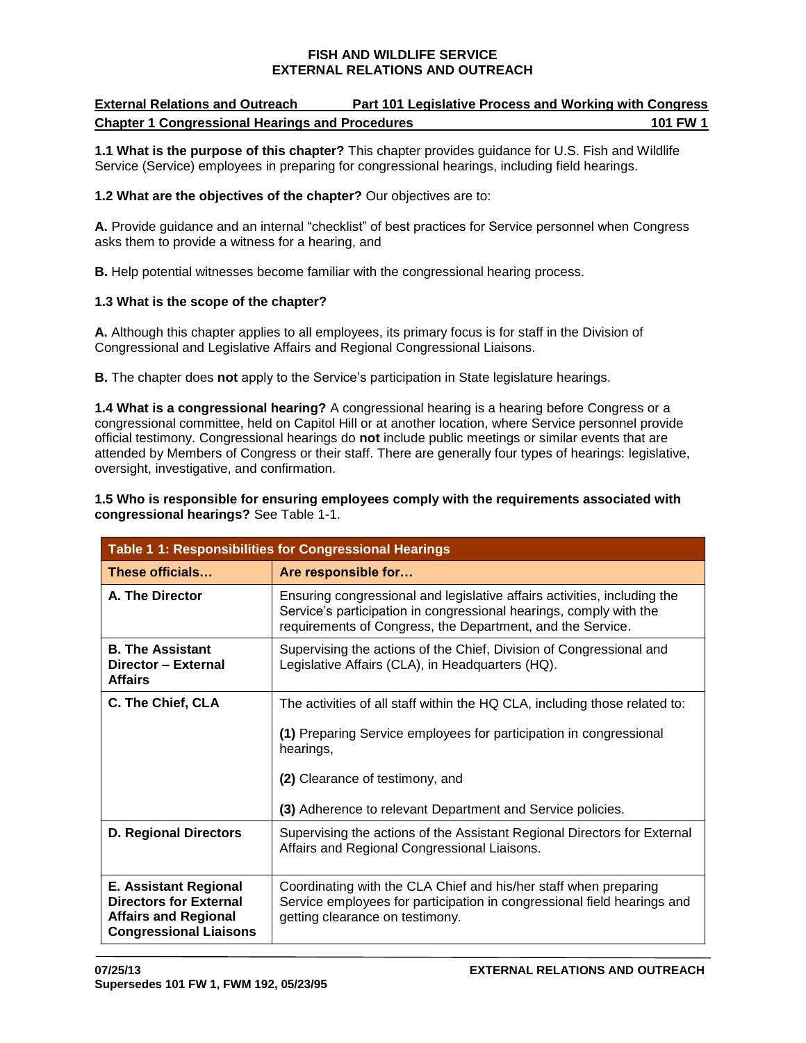#### **External Relations and Outreach Chapter 1 Congressional Hearings and Procedures 101 FW 1 201 FW 1 201 FW 1 Part 101 Legislative Process and Working with Congress**

 **1.1 What is the purpose of this chapter?** This chapter provides guidance for U.S. Fish and Wildlife Service (Service) employees in preparing for congressional hearings, including field hearings.

## **1.2 What are the objectives of the chapter?** Our objectives are to:

 **A.** Provide guidance and an internal "checklist" of best practices for Service personnel when Congress asks them to provide a witness for a hearing, and

**B.** Help potential witnesses become familiar with the congressional hearing process.

## 1.3 What is the scope of the chapter?

**1.3 What is the scope of the chapter?**<br>**A.** Although this chapter applies to all employees, its primary focus is for staff in the Division of Congressional and Legislative Affairs and Regional Congressional Liaisons.

**B.** The chapter does **not** apply to the Service's participation in State legislature hearings.

 **1.4 What is a congressional hearing?** A congressional hearing is a hearing before Congress or a attended by Members of Congress or their staff. There are generally four types of hearings: legislative, congressional committee, held on Capitol Hill or at another location, where Service personnel provide official testimony. Congressional hearings do **not** include public meetings or similar events that are oversight, investigative, and confirmation.

### **1.5 Who is responsible for ensuring employees comply with the requirements associated with congressional hearings?** See Table 1-1.

| Table 1 1: Responsibilities for Congressional Hearings                                                                        |                                                                                                                                                                                                              |
|-------------------------------------------------------------------------------------------------------------------------------|--------------------------------------------------------------------------------------------------------------------------------------------------------------------------------------------------------------|
| These officials                                                                                                               | Are responsible for                                                                                                                                                                                          |
| A. The Director                                                                                                               | Ensuring congressional and legislative affairs activities, including the<br>Service's participation in congressional hearings, comply with the<br>requirements of Congress, the Department, and the Service. |
| <b>B. The Assistant</b><br>Director - External<br><b>Affairs</b>                                                              | Supervising the actions of the Chief, Division of Congressional and<br>Legislative Affairs (CLA), in Headquarters (HQ).                                                                                      |
| C. The Chief, CLA                                                                                                             | The activities of all staff within the HQ CLA, including those related to:                                                                                                                                   |
|                                                                                                                               | (1) Preparing Service employees for participation in congressional<br>hearings,                                                                                                                              |
|                                                                                                                               | (2) Clearance of testimony, and                                                                                                                                                                              |
|                                                                                                                               | (3) Adherence to relevant Department and Service policies.                                                                                                                                                   |
| <b>D. Regional Directors</b>                                                                                                  | Supervising the actions of the Assistant Regional Directors for External<br>Affairs and Regional Congressional Liaisons.                                                                                     |
| <b>E. Assistant Regional</b><br><b>Directors for External</b><br><b>Affairs and Regional</b><br><b>Congressional Liaisons</b> | Coordinating with the CLA Chief and his/her staff when preparing<br>Service employees for participation in congressional field hearings and<br>getting clearance on testimony.                               |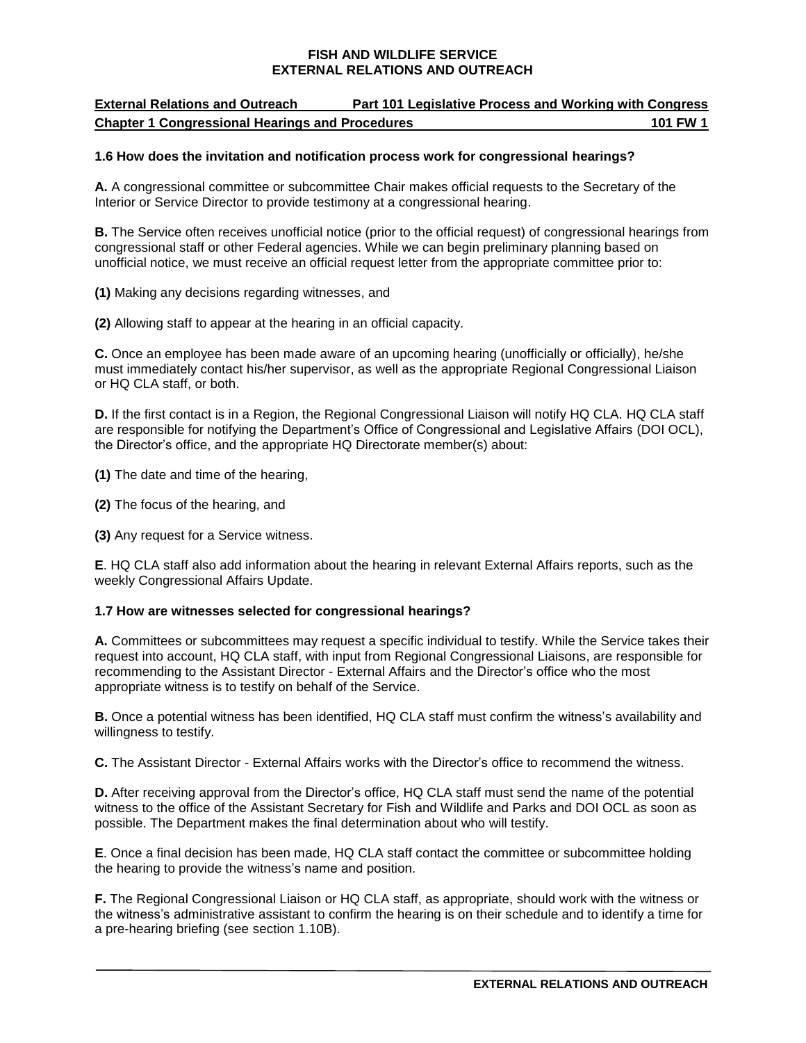#### **External Relations and Outreach Chapter 1 Congressional Hearings and Procedures 101 FW 1 201 FW 1 201 FW 1 Part 101 Legislative Process and Working with Congress**

### **1.6 How does the invitation and notification process work for congressional hearings?**

 Interior or Service Director to provide testimony at a congressional hearing. **A.** A congressional committee or subcommittee Chair makes official requests to the Secretary of the

 **B.** The Service often receives unofficial notice (prior to the official request) of congressional hearings from congressional staff or other Federal agencies. While we can begin preliminary planning based on unofficial notice, we must receive an official request letter from the appropriate committee prior to:

**(1)** Making any decisions regarding witnesses, and

**(2)** Allowing staff to appear at the hearing in an official capacity.

 **C.** Once an employee has been made aware of an upcoming hearing (unofficially or officially), he/she must immediately contact his/her supervisor, as well as the appropriate Regional Congressional Liaison or HQ CLA staff, or both.

 **D.** If the first contact is in a Region, the Regional Congressional Liaison will notify HQ CLA. HQ CLA staff the Director's office, and the appropriate HQ Directorate member(s) about: are responsible for notifying the Department's Office of Congressional and Legislative Affairs (DOI OCL),

**(1)** The date and time of the hearing,

**(2)** The focus of the hearing, and

**(3)** Any request for a Service witness.

 **E**. HQ CLA staff also add information about the hearing in relevant External Affairs reports, such as the weekly Congressional Affairs Update.

### **1.7 How are witnesses selected for congressional hearings?**

 **A.** Committees or subcommittees may request a specific individual to testify. While the Service takes their request into account, HQ CLA staff, with input from Regional Congressional Liaisons, are responsible for recommending to the Assistant Director - External Affairs and the Director's office who the most appropriate witness is to testify on behalf of the Service.

 **B.** Once a potential witness has been identified, HQ CLA staff must confirm the witness's availability and willingness to testify.

**C.** The Assistant Director - External Affairs works with the Director's office to recommend the witness.

 **D.** After receiving approval from the Director's office, HQ CLA staff must send the name of the potential witness to the office of the Assistant Secretary for Fish and Wildlife and Parks and DOI OCL as soon as possible. The Department makes the final determination about who will testify.

 **E**. Once a final decision has been made, HQ CLA staff contact the committee or subcommittee holding the hearing to provide the witness's name and position.

 **F.** The Regional Congressional Liaison or HQ CLA staff, as appropriate, should work with the witness or a pre-hearing briefing (see section 1.10B). the witness's administrative assistant to confirm the hearing is on their schedule and to identify a time for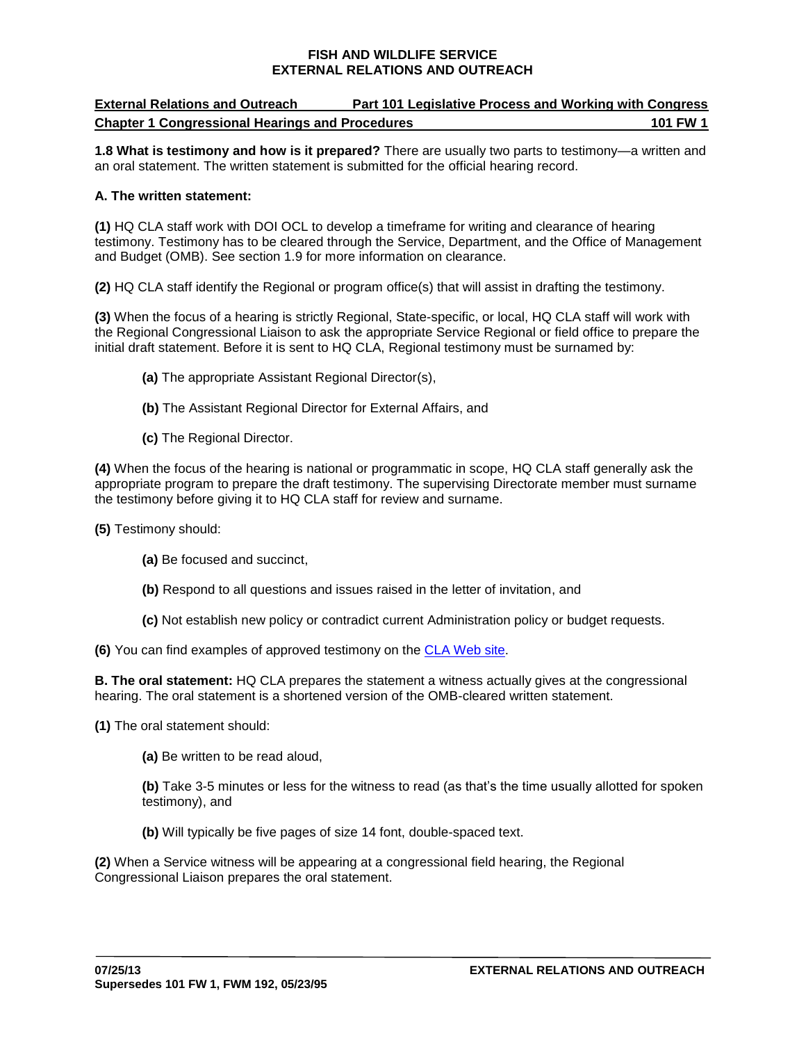#### **External Relations and Outreach Chapter 1 Congressional Hearings and Procedures 101 FW 1 201 FW 1 201 FW 1 Part 101 Legislative Process and Working with Congress**

 **1.8 What is testimony and how is it prepared?** There are usually two parts to testimony—a written and an oral statement. The written statement is submitted for the official hearing record.

## **A. The written statement:**

 **(1)** HQ CLA staff work with DOI OCL to develop a timeframe for writing and clearance of hearing and Budget (OMB). See section 1.9 for more information on clearance. testimony. Testimony has to be cleared through the Service, Department, and the Office of Management

**(2)** HQ CLA staff identify the Regional or program office(s) that will assist in drafting the testimony.

 **(3)** When the focus of a hearing is strictly Regional, State-specific, or local, HQ CLA staff will work with the Regional Congressional Liaison to ask the appropriate Service Regional or field office to prepare the initial draft statement. Before it is sent to HQ CLA, Regional testimony must be surnamed by:

- **(a)** The appropriate Assistant Regional Director(s),
- **(b)** The Assistant Regional Director for External Affairs, and
- **(c)** The Regional Director.

 **(4)** When the focus of the hearing is national or programmatic in scope, HQ CLA staff generally ask the appropriate program to prepare the draft testimony. The supervising Directorate member must surname the testimony before giving it to HQ CLA staff for review and surname.

**(5)** Testimony should:

- **(a)** Be focused and succinct,
- **(b)** Respond to all questions and issues raised in the letter of invitation, and
- **(c)** Not establish new policy or contradict current Administration policy or budget requests.

**(6)** You can find [examples](http://www.fws.gov/laws/Testimony/testimony.htm) of approved testimony on the [CLA Web site.](http://www.fws.gov/laws/Testimony.cfm)

 **B. The oral statement:** HQ CLA prepares the statement a witness actually gives at the congressional hearing. The oral statement is a shortened version of the OMB-cleared written statement.

**(1)** The oral statement should:

**(a)** Be written to be read aloud,

 testimony), and **(b)** Take 3-5 minutes or less for the witness to read (as that's the time usually allotted for spoken

**(b)** Will typically be five pages of size 14 font, double-spaced text.

 Congressional Liaison prepares the oral statement. **(2)** When a Service witness will be appearing at a congressional field hearing, the Regional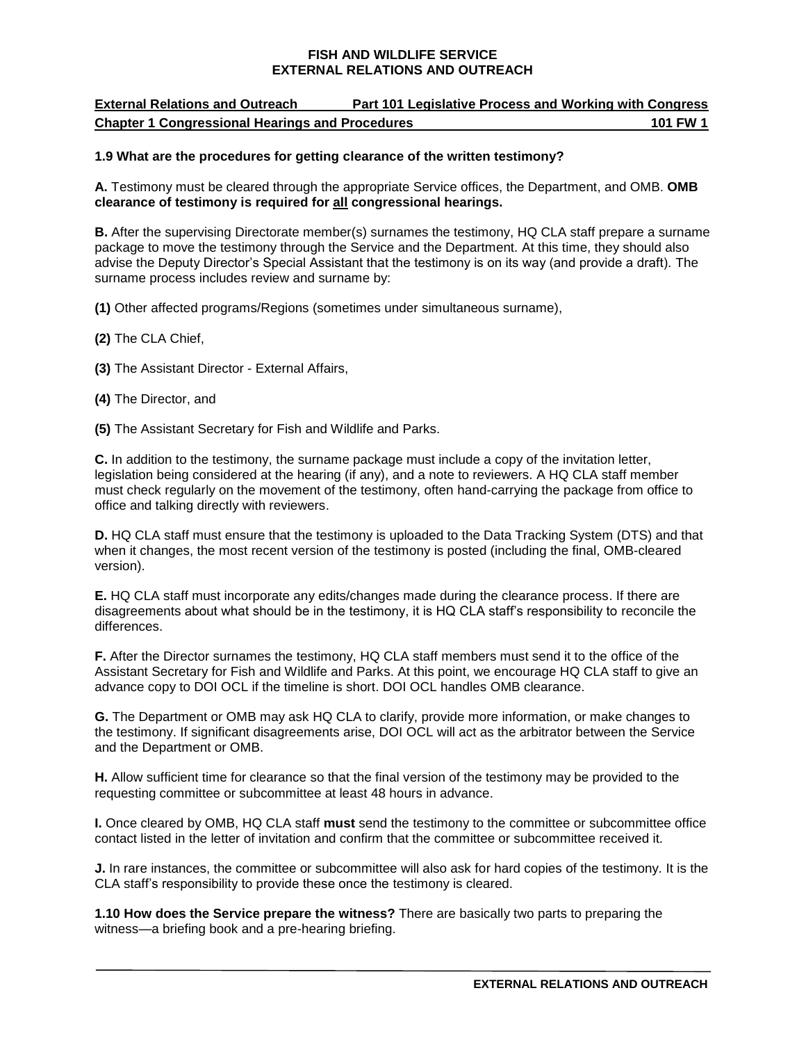#### **External Relations and Outreach Chapter 1 Congressional Hearings and Procedures 101 FW 1 201 FW 1 201 FW 1 Part 101 Legislative Process and Working with Congress**

## **1.9 What are the procedures for getting clearance of the written testimony?**

 **A.** Testimony must be cleared through the appropriate Service offices, the Department, and OMB. **OMB clearance of testimony is required for all congressional hearings.** 

 **B.** After the supervising Directorate member(s) surnames the testimony, HQ CLA staff prepare a surname advise the Deputy Director's Special Assistant that the testimony is on its way (and provide a draft). The package to move the testimony through the Service and the Department. At this time, they should also surname process includes review and surname by:

**(1)** Other affected programs/Regions (sometimes under simultaneous surname),

- **(2)** The CLA Chief,
- **(3)** The Assistant Director External Affairs,
- **(4)** The Director, and

**(5)** The Assistant Secretary for Fish and Wildlife and Parks.

 legislation being considered at the hearing (if any), and a note to reviewers. A HQ CLA staff member **C.** In addition to the testimony, the surname package must include a copy of the invitation letter, must check regularly on the movement of the testimony, often hand-carrying the package from office to office and talking directly with reviewers.

 **D.** HQ CLA staff must ensure that the testimony is uploaded to the Data Tracking System (DTS) and that when it changes, the most recent version of the testimony is posted (including the final, OMB-cleared version).

 **E.** HQ CLA staff must incorporate any edits/changes made during the clearance process. If there are disagreements about what should be in the testimony, it is HQ CLA staff's responsibility to reconcile the differences.

 **F.** After the Director surnames the testimony, HQ CLA staff members must send it to the office of the Assistant Secretary for Fish and Wildlife and Parks. At this point, we encourage HQ CLA staff to give an advance copy to DOI OCL if the timeline is short. DOI OCL handles OMB clearance.

 **G.** The Department or OMB may ask HQ CLA to clarify, provide more information, or make changes to the testimony. If significant disagreements arise, DOI OCL will act as the arbitrator between the Service and the Department or OMB.

**H.** Allow sufficient time for clearance so that the final version of the testimony may be provided to the requesting committee or subcommittee at least 48 hours in advance.

 **I.** Once cleared by OMB, HQ CLA staff **must** send the testimony to the committee or subcommittee office contact listed in the letter of invitation and confirm that the committee or subcommittee received it.

 CLA staff's responsibility to provide these once the testimony is cleared. **J.** In rare instances, the committee or subcommittee will also ask for hard copies of the testimony. It is the

 witness—a briefing book and a pre-hearing briefing. **1.10 How does the Service prepare the witness?** There are basically two parts to preparing the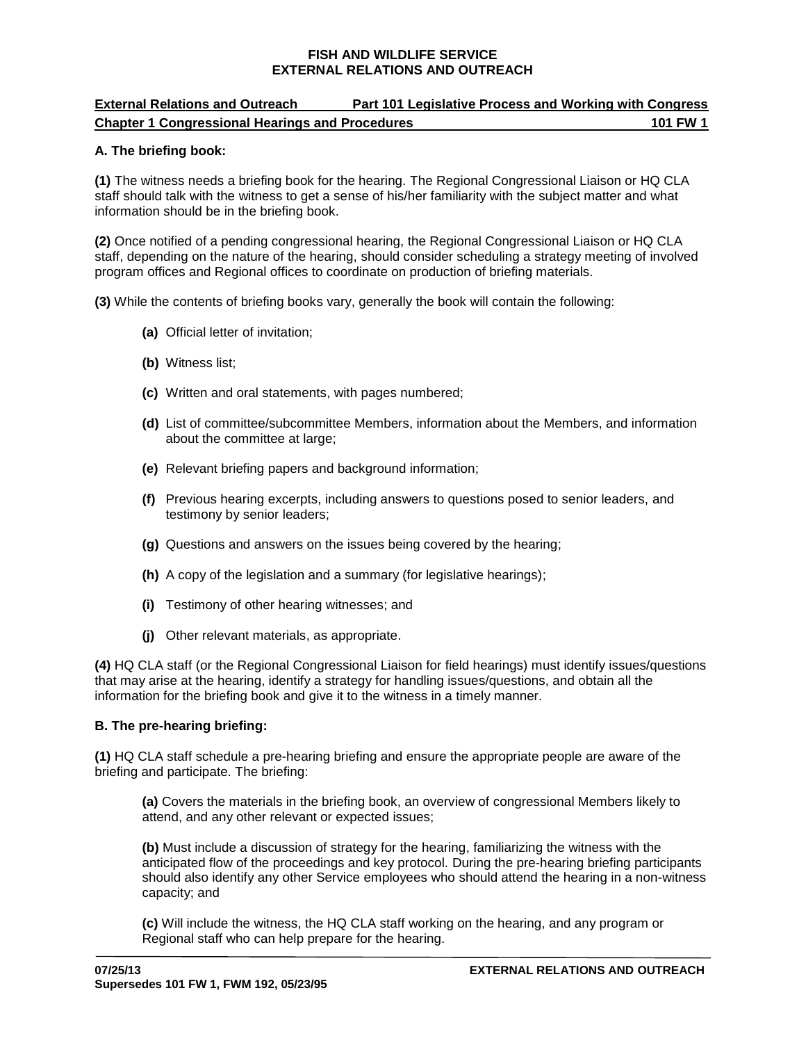#### **External Relations and Outreach Chapter 1 Congressional Hearings and Procedures 101 FW 1 201 FW 1 201 FW 1 Part 101 Legislative Process and Working with Congress**

# **A. The briefing book:**

 **(1)** The witness needs a briefing book for the hearing. The Regional Congressional Liaison or HQ CLA staff should talk with the witness to get a sense of his/her familiarity with the subject matter and what information should be in the briefing book.

 **(2)** Once notified of a pending congressional hearing, the Regional Congressional Liaison or HQ CLA staff, depending on the nature of the hearing, should consider scheduling a strategy meeting of involved program offices and Regional offices to coordinate on production of briefing materials.

**(3)** While the contents of briefing books vary, generally the book will contain the following:

- **(a)** Official letter of invitation;
- **(b)** Witness list;
- **(c)** Written and oral statements, with pages numbered;
- **(d)** List of committee/subcommittee Members, information about the Members, and information about the committee at large;
- **(e)** Relevant briefing papers and background information;
- **(f)** Previous hearing excerpts, including answers to questions posed to senior leaders, and testimony by senior leaders;
- **(g)** Questions and answers on the issues being covered by the hearing;
- **(h)** A copy of the legislation and a summary (for legislative hearings);
- **(i)** Testimony of other hearing witnesses; and
- **(j)** Other relevant materials, as appropriate.

 **(4)** HQ CLA staff (or the Regional Congressional Liaison for field hearings) must identify issues/questions information for the briefing book and give it to the witness in a timely manner. that may arise at the hearing, identify a strategy for handling issues/questions, and obtain all the

# **B. The pre-hearing briefing:**

 **(1)** HQ CLA staff schedule a pre-hearing briefing and ensure the appropriate people are aware of the briefing and participate. The briefing:

 **(a)** Covers the materials in the briefing book, an overview of congressional Members likely to attend, and any other relevant or expected issues;

 **(b)** Must include a discussion of strategy for the hearing, familiarizing the witness with the should also identify any other Service employees who should attend the hearing in a non-witness capacity; and anticipated flow of the proceedings and key protocol. During the pre-hearing briefing participants

 **(c)** Will include the witness, the HQ CLA staff working on the hearing, and any program or Regional staff who can help prepare for the hearing.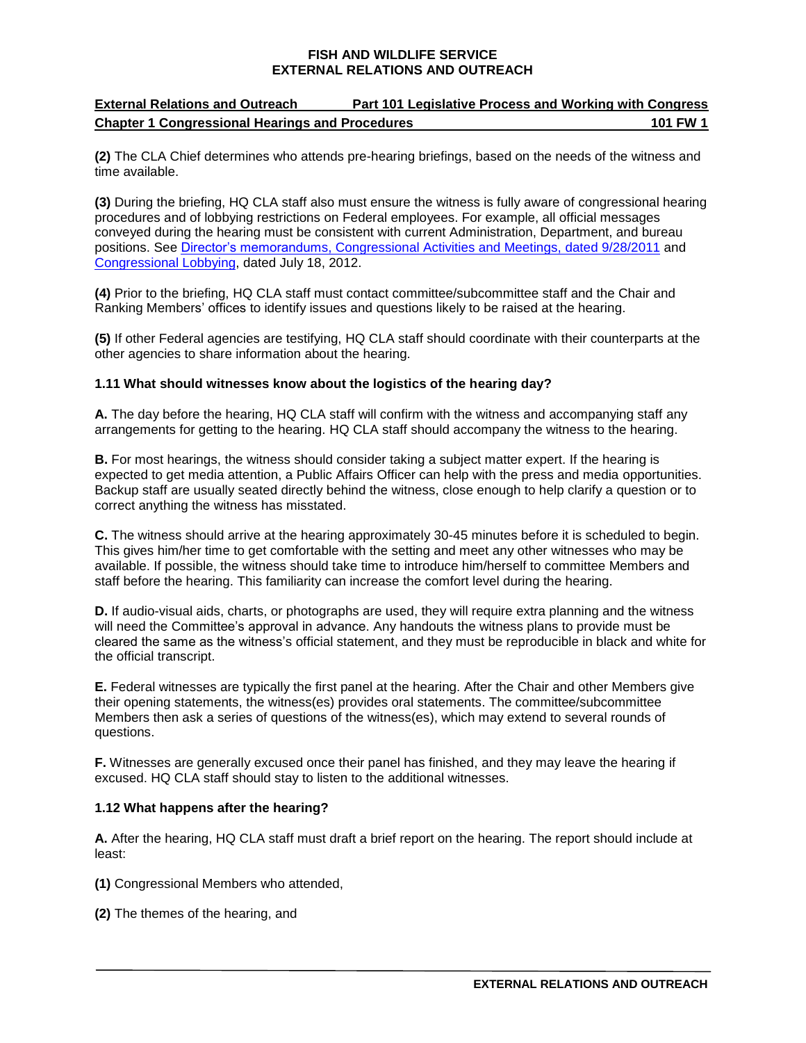#### **External Relations and Outreach Chapter 1 Congressional Hearings and Procedures 101 FW 1 201 FW 1 201 FW 1 Part 101 Legislative Process and Working with Congress**

 **(2)** The CLA Chief determines who attends pre-hearing briefings, based on the needs of the witness and time available.

 **(3)** During the briefing, HQ CLA staff also must ensure the witness is fully aware of congressional hearing procedures and of lobbying restrictions on Federal employees. For example, all official messages conveyed during the hearing must be consistent with current Administration, Department, and bureau positions. See [Director's memorandums, Congressional Activities and Meetings, dated 9/28/2011](http://www.fws.gov/policy/m0349.pdf) and [Congressional Lobbying,](http://www.fws.gov/policy/m0354.pdf) dated July 18, 2012.

 **(4)** Prior to the briefing, HQ CLA staff must contact committee/subcommittee staff and the Chair and Ranking Members' offices to identify issues and questions likely to be raised at the hearing.

 **(5)** If other Federal agencies are testifying, HQ CLA staff should coordinate with their counterparts at the other agencies to share information about the hearing.

## 1.11 What should witnesses know about the logistics of the hearing day?

**1.11 What should witnesses know about the logistics of the hearing day?**<br>**A.** The day before the hearing, HQ CLA staff will confirm with the witness and accompanying staff any arrangements for getting to the hearing. HQ CLA staff should accompany the witness to the hearing.

 correct anything the witness has misstated. **B.** For most hearings, the witness should consider taking a subject matter expert. If the hearing is expected to get media attention, a Public Affairs Officer can help with the press and media opportunities. Backup staff are usually seated directly behind the witness, close enough to help clarify a question or to

 **C.** The witness should arrive at the hearing approximately 30-45 minutes before it is scheduled to begin. This gives him/her time to get comfortable with the setting and meet any other witnesses who may be available. If possible, the witness should take time to introduce him/herself to committee Members and staff before the hearing. This familiarity can increase the comfort level during the hearing.

 will need the Committee's approval in advance. Any handouts the witness plans to provide must be cleared the same as the witness's official statement, and they must be reproducible in black and white for the official transcript. **D.** If audio-visual aids, charts, or photographs are used, they will require extra planning and the witness

 **E.** Federal witnesses are typically the first panel at the hearing. After the Chair and other Members give their opening statements, the witness(es) provides oral statements. The committee/subcommittee Members then ask a series of questions of the witness(es), which may extend to several rounds of questions.

 **F.** Witnesses are generally excused once their panel has finished, and they may leave the hearing if excused. HQ CLA staff should stay to listen to the additional witnesses.

### **1.12 What happens after the hearing?**

 **A.** After the hearing, HQ CLA staff must draft a brief report on the hearing. The report should include at least:

- **(1)** Congressional Members who attended,
- **(2)** The themes of the hearing, and